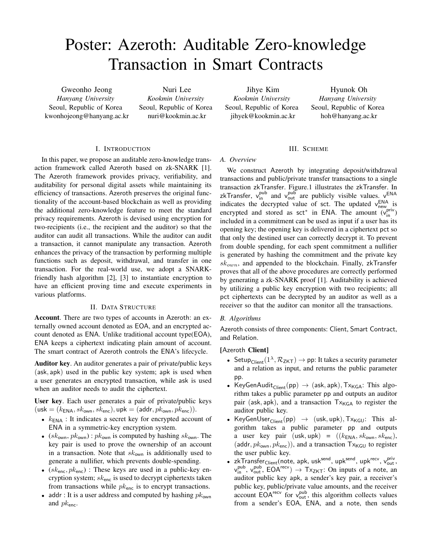# Poster: Azeroth: Auditable Zero-knowledge Transaction in Smart Contracts

Gweonho Jeong *Hanyang University* Seoul, Republic of Korea kwonhojeong@hanyang.ac.kr

Nuri Lee *Kookmin University* Seoul, Republic of Korea nuri@kookmin.ac.kr

Jihye Kim *Kookmin University* Seoul, Republic of Korea jihyek@kookmin.ac.kr

Hyunok Oh *Hanyang University* Seoul, Republic of Korea hoh@hanyang.ac.kr

#### I. INTRODUCTION

In this paper, we propose an auditable zero-knowledge transaction framework called Azeroth based on zk-SNARK [1]. The Azeroth framework provides privacy, verifiability, and auditability for personal digital assets while maintaining its efficiency of transactions. Azeroth preserves the original functionality of the account-based blockchain as well as providing the additional zero-knowledge feature to meet the standard privacy requirements. Azeroth is devised using encryption for two-recipients (i.e., the recipient and the auditor) so that the auditor can audit all transactions. While the auditor can audit a transaction, it cannot manipulate any transaction. Azeroth enhances the privacy of the transaction by performing multiple functions such as deposit, withdrawal, and transfer in one transaction. For the real-world use, we adopt a SNARKfriendly hash algorithm [2], [3] to instantiate encryption to have an efficient proving time and execute experiments in various platforms.

## II. DATA STRUCTURE

Account. There are two types of accounts in Azeroth: an externally owned account denoted as EOA, and an encrypted account denoted as ENA. Unlike traditional account type(EOA), ENA keeps a ciphertext indicating plain amount of account. The smart contract of Azeroth controls the ENA's lifecycle.

Auditor key. An auditor generates a pair of private/public keys (ask*,* apk) used in the public key system; apk is used when a user generates an encrypted transaction, while ask is used when an auditor needs to audit the ciphertext.

User key. Each user generates a pair of private/public keys  $(\text{usk} = (k_{\text{ENA}}, sk_{\text{own}}, sk_{\text{enc}}), \text{upk} = (\text{addr}, pk_{\text{own}}, pk_{\text{enc}})).$ 

- $k_{ENA}$ : It indicates a secret key for encrypted account of ENA in a symmetric-key encryption system.
- ( $sk_{\text{own}}$ ,  $pk_{\text{own}}$ ):  $pk_{\text{own}}$  is computed by hashing  $sk_{\text{own}}$ . The key pair is used to prove the ownership of an account in a transaction. Note that *sk*own is additionally used to generate a nullifier, which prevents double-spending.
- *•* (*sk*enc*, pk*enc) : These keys are used in a public-key encryption system; *sk*enc is used to decrypt ciphertexts taken from transactions while *pk*enc is to encrypt transactions.
- addr : It is a user address and computed by hashing  $pk_{own}$ and *pk*enc.

# III. SCHEME

#### *A. Overview*

We construct Azeroth by integrating deposit/withdrawal transactions and public/private transfer transactions to a single transaction zkTransfer. Figure.1 illustrates the zkTransfer. In zkTransfer,  $v_{in}^{pub}$  and  $v_{out}^{pub}$  are publicly visible values.  $v_{in}^{END}$ indicates the decrypted value of sct. The updated  $v_{\text{new}}^{\text{ENA}}$  is encrypted and stored as sct<sup>\*</sup> in ENA. The amount  $(v_{in}^{priv})$ included in a commitment can be used as input if a user has its opening key; the opening key is delivered in a ciphertext pct so that only the destined user can correctly decrypt it. To prevent from double spending, for each spent commitment a nullifier is generated by hashing the commitment and the private key *skown*, and appended to the blockchain. Finally, zkTransfer proves that all of the above procedures are correctly performed by generating a zk-SNARK proof [1]. Auditability is achieved by utilizing a public key encryption with two recipients; all pct ciphertexts can be decrypted by an auditor as well as a receiver so that the auditor can monitor all the transactions.

# *B. Algorithms*

Azeroth consists of three components: Client, Smart Contract, and Relation.

## [Azeroth Client]

- Setup<sub>Client</sub>  $(1^{\lambda}, \mathcal{R}_{ZKT}) \rightarrow$  pp: It takes a security parameter and a relation as input, and returns the public parameter pp.
- KeyGenAudit $_{\text{Client}}(\text{pp}) \rightarrow (\text{ask}, \text{apk}), \text{Tx}_{\text{KGA}}:$  This algorithm takes a public parameter pp and outputs an auditor pair (ask, apk), and a transaction  $Tx_{KGA}$  to register the auditor public key.
- KeyGenUser<sub>Client</sub>(pp)  $\rightarrow$  (usk, upk),  $Tx_{KGU}$ : This algorithm takes a public parameter pp and outputs a user key pair (usk*,* upk) = ((*k*ENA*, sk*own*, sk*enc), (addr,  $pk_{own}, pk_{enc}$ )), and a transaction  $Tx_{KGU}$  to register the user public key.
- zkTransfer<sub>Client</sub> (note, apk, usk<sup>send</sup>, upk<sup>send</sup>, upk<sup>recv</sup>, v<sub>out</sub>,  $v_{\text{in}}^{\text{pub}}, v_{\text{out}}^{\text{pub}}, \text{EOA}^{\text{recv}}) \rightarrow \text{Tx}_{\text{ZKT}}$ : On inputs of a note, an auditor public key apk, a sender's key pair, a receiver's public key, public/private value amounts, and the receiver  $\alpha$  account EOA<sup>recv</sup> for  $v_{\text{out}}^{\text{pub}}$ , this algorithm collects values from a sender's EOA, ENA, and a note, then sends